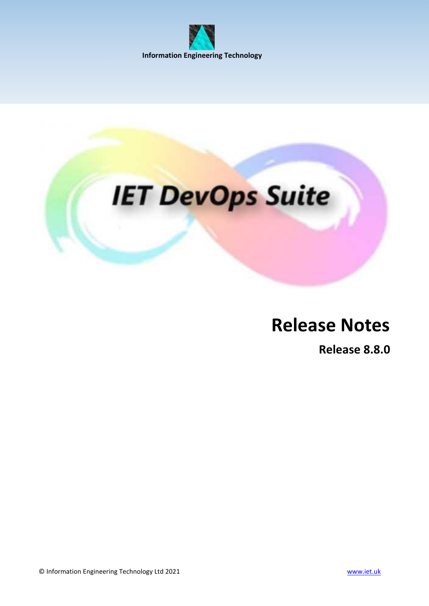



# **Release Notes**

**Release 8.8.0**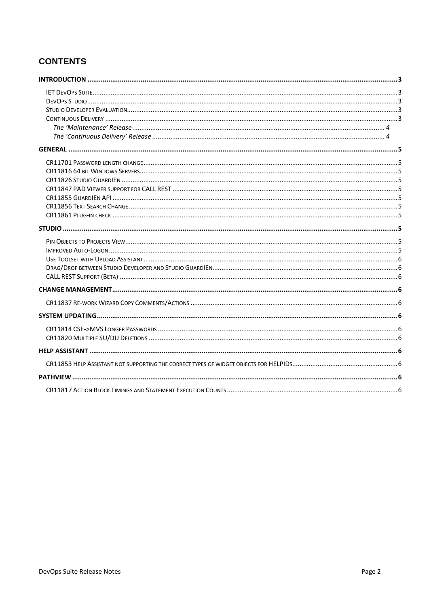## **CONTENTS**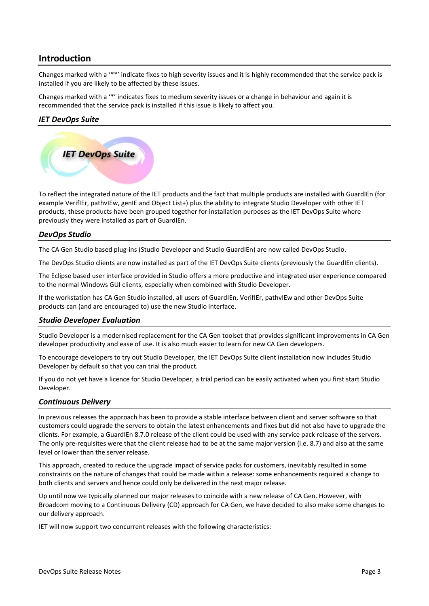## <span id="page-2-0"></span>**Introduction**

Changes marked with a '\*\*' indicate fixes to high severity issues and it is highly recommended that the service pack is installed if you are likely to be affected by these issues.

Changes marked with a '\*' indicates fixes to medium severity issues or a change in behaviour and again it is recommended that the service pack is installed if this issue is likely to affect you.

## <span id="page-2-1"></span>*IET DevOps Suite*



To reflect the integrated nature of the IET products and the fact that multiple products are installed with GuardIEn (for example VerifIEr, pathvIEw, genIE and Object List+) plus the ability to integrate Studio Developer with other IET products, these products have been grouped together for installation purposes as the IET DevOps Suite where previously they were installed as part of GuardIEn.

## <span id="page-2-2"></span>*DevOps Studio*

The CA Gen Studio based plug-ins (Studio Developer and Studio GuardIEn) are now called DevOps Studio.

The DevOps Studio clients are now installed as part of the IET DevOps Suite clients (previously the GuardIEn clients).

The Eclipse based user interface provided in Studio offers a more productive and integrated user experience compared to the normal Windows GUI clients, especially when combined with Studio Developer.

If the workstation has CA Gen Studio installed, all users of GuardIEn, VerifIEr, pathvIEw and other DevOps Suite products can (and are encouraged to) use the new Studio interface.

#### <span id="page-2-3"></span>*Studio Developer Evaluation*

Studio Developer is a modernised replacement for the CA Gen toolset that provides significant improvements in CA Gen developer productivity and ease of use. It is also much easier to learn for new CA Gen developers.

To encourage developers to try out Studio Developer, the IET DevOps Suite client installation now includes Studio Developer by default so that you can trial the product.

If you do not yet have a licence for Studio Developer, a trial period can be easily activated when you first start Studio Developer.

#### <span id="page-2-4"></span>*Continuous Delivery*

In previous releases the approach has been to provide a stable interface between client and server software so that customers could upgrade the servers to obtain the latest enhancements and fixes but did not also have to upgrade the clients. For example, a GuardIEn 8.7.0 release of the client could be used with any service pack release of the servers. The only pre-requisites were that the client release had to be at the same major version (i.e. 8.7) and also at the same level or lower than the server release.

This approach, created to reduce the upgrade impact of service packs for customers, inevitably resulted in some constraints on the nature of changes that could be made within a release: some enhancements required a change to both clients and servers and hence could only be delivered in the next major release.

Up until now we typically planned our major releases to coincide with a new release of CA Gen. However, with Broadcom moving to a Continuous Delivery (CD) approach for CA Gen, we have decided to also make some changes to our delivery approach.

IET will now support two concurrent releases with the following characteristics: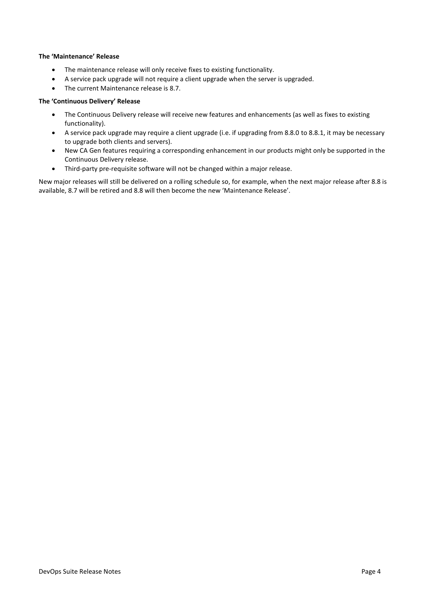#### <span id="page-3-0"></span>**The 'Maintenance' Release**

- The maintenance release will only receive fixes to existing functionality.
- A service pack upgrade will not require a client upgrade when the server is upgraded.
- The current Maintenance release is 8.7.

#### <span id="page-3-1"></span>**The 'Continuous Delivery' Release**

- The Continuous Delivery release will receive new features and enhancements (as well as fixes to existing functionality).
- A service pack upgrade may require a client upgrade (i.e. if upgrading from 8.8.0 to 8.8.1, it may be necessary to upgrade both clients and servers).
- New CA Gen features requiring a corresponding enhancement in our products might only be supported in the Continuous Delivery release.
- Third-party pre-requisite software will not be changed within a major release.

New major releases will still be delivered on a rolling schedule so, for example, when the next major release after 8.8 is available, 8.7 will be retired and 8.8 will then become the new 'Maintenance Release'.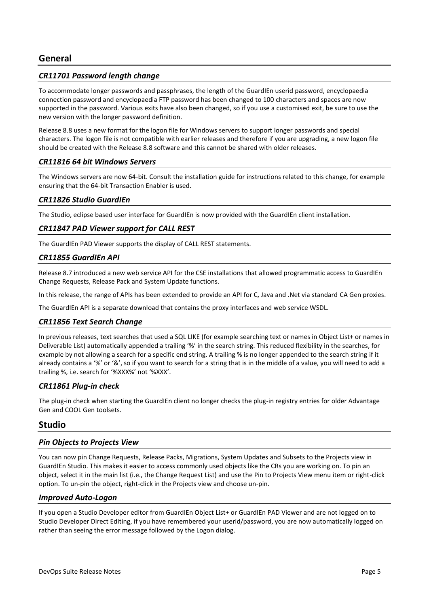#### <span id="page-4-1"></span><span id="page-4-0"></span>*CR11701 Password length change*

To accommodate longer passwords and passphrases, the length of the GuardIEn userid password, encyclopaedia connection password and encyclopaedia FTP password has been changed to 100 characters and spaces are now supported in the password. Various exits have also been changed, so if you use a customised exit, be sure to use the new version with the longer password definition.

Release 8.8 uses a new format for the logon file for Windows servers to support longer passwords and special characters. The logon file is not compatible with earlier releases and therefore if you are upgrading, a new logon file should be created with the Release 8.8 software and this cannot be shared with older releases.

#### <span id="page-4-2"></span>*CR11816 64 bit Windows Servers*

The Windows servers are now 64-bit. Consult the installation guide for instructions related to this change, for example ensuring that the 64-bit Transaction Enabler is used.

#### <span id="page-4-3"></span>*CR11826 Studio GuardIEn*

The Studio, eclipse based user interface for GuardIEn is now provided with the GuardIEn client installation.

#### <span id="page-4-4"></span>*CR11847 PAD Viewer support for CALL REST*

The GuardIEn PAD Viewer supports the display of CALL REST statements.

#### <span id="page-4-5"></span>*CR11855 GuardIEn API*

Release 8.7 introduced a new web service API for the CSE installations that allowed programmatic access to GuardIEn Change Requests, Release Pack and System Update functions.

In this release, the range of APIs has been extended to provide an API for C, Java and .Net via standard CA Gen proxies.

The GuardIEn API is a separate download that contains the proxy interfaces and web service WSDL.

#### <span id="page-4-6"></span>*CR11856 Text Search Change*

In previous releases, text searches that used a SQL LIKE (for example searching text or names in Object List+ or names in Deliverable List) automatically appended a trailing '%' in the search string. This reduced flexibility in the searches, for example by not allowing a search for a specific end string. A trailing % is no longer appended to the search string if it already contains a '%' or '&', so if you want to search for a string that is in the middle of a value, you will need to add a trailing %, i.e. search for '%XXX%' not '%XXX'.

#### <span id="page-4-7"></span>*CR11861 Plug-in check*

The plug-in check when starting the GuardIEn client no longer checks the plug-in registry entries for older Advantage Gen and COOL Gen toolsets.

## <span id="page-4-8"></span>**Studio**

#### <span id="page-4-9"></span>*Pin Objects to Projects View*

You can now pin Change Requests, Release Packs, Migrations, System Updates and Subsets to the Projects view in GuardIEn Studio. This makes it easier to access commonly used objects like the CRs you are working on. To pin an object, select it in the main list (i.e., the Change Request List) and use the Pin to Projects View menu item or right-click option. To un-pin the object, right-click in the Projects view and choose un-pin.

#### <span id="page-4-10"></span>*Improved Auto-Logon*

If you open a Studio Developer editor from GuardIEn Object List+ or GuardIEn PAD Viewer and are not logged on to Studio Developer Direct Editing, if you have remembered your userid/password, you are now automatically logged on rather than seeing the error message followed by the Logon dialog.